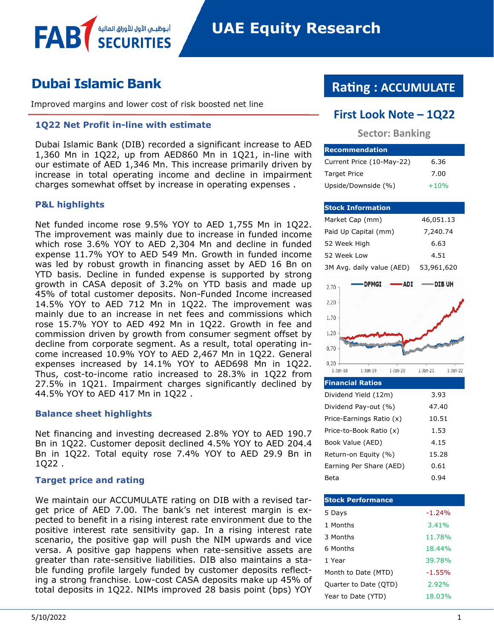# **Dubai Islamic Bank**

Improved margins and lower cost of risk boosted net line

أبوظبــي الأول للأوراق المال<sub>ا</sub>

### **1Q22 Net Profit in-line with estimate**

Dubai Islamic Bank (DIB) recorded a significant increase to AED 1,360 Mn in 1Q22, up from AED860 Mn in 1Q21, in-line with our estimate of AED 1,346 Mn. This increase primarily driven by increase in total operating income and decline in impairment charges somewhat offset by increase in operating expenses .

### **P&L highlights**

FAB

Net funded income rose 9.5% YOY to AED 1,755 Mn in 1Q22. The improvement was mainly due to increase in funded income which rose 3.6% YOY to AED 2,304 Mn and decline in funded expense 11.7% YOY to AED 549 Mn. Growth in funded income was led by robust growth in financing asset by AED 16 Bn on YTD basis. Decline in funded expense is supported by strong growth in CASA deposit of 3.2% on YTD basis and made up 45% of total customer deposits. Non-Funded Income increased 14.5% YOY to AED 712 Mn in 1Q22. The improvement was mainly due to an increase in net fees and commissions which rose 15.7% YOY to AED 492 Mn in 1Q22. Growth in fee and commission driven by growth from consumer segment offset by decline from corporate segment. As a result, total operating income increased 10.9% YOY to AED 2,467 Mn in 1Q22. General expenses increased by 14.1% YOY to AED698 Mn in 1Q22. Thus, cost-to-income ratio increased to 28.3% in 1Q22 from 27.5% in 1Q21. Impairment charges significantly declined by 44.5% YOY to AED 417 Mn in 1Q22 .

### **Balance sheet highlights**

Net financing and investing decreased 2.8% YOY to AED 190.7 Bn in 1Q22. Customer deposit declined 4.5% YOY to AED 204.4 Bn in 1Q22. Total equity rose 7.4% YOY to AED 29.9 Bn in 1Q22 .

### **Target price and rating**

We maintain our ACCUMULATE rating on DIB with a revised target price of AED 7.00. The bank's net interest margin is expected to benefit in a rising interest rate environment due to the positive interest rate sensitivity gap. In a rising interest rate scenario, the positive gap will push the NIM upwards and vice versa. A positive gap happens when rate-sensitive assets are greater than rate-sensitive liabilities. DIB also maintains a stable funding profile largely funded by customer deposits reflecting a strong franchise. Low-cost CASA deposits make up 45% of total deposits in 1Q22. NIMs improved 28 basis point (bps) YOY

# **Rating : ACCUMULATE**

## **First Look Note – 1Q22**

### **Sector: Banking**

| <b>Recommendation</b>     |        |
|---------------------------|--------|
| Current Price (10-May-22) | 6.36   |
| <b>Target Price</b>       | 7.00   |
| Upside/Downside (%)       | $+10%$ |

|                            | <b>Stock Information</b>  |            |                |            |
|----------------------------|---------------------------|------------|----------------|------------|
| Market Cap (mm)            |                           |            | 46,051.13      |            |
|                            | Paid Up Capital (mm)      |            | 7,240.74       |            |
| 52 Week High               |                           |            | 6.63           |            |
| 52 Week Low                |                           |            | 4.51           |            |
|                            | 3M Avg. daily value (AED) |            | 53,961,620     |            |
| 2.70                       | <b>DFMGI</b>              | -ADI       | —— DIB UH      |            |
| 2.20                       |                           |            |                |            |
| 1.70                       |                           |            |                |            |
| 1.20                       |                           |            |                |            |
| 0.70                       |                           |            |                |            |
| $0.20 -$<br>$1$ -Jan- $18$ | $1$ -Jan- $19$            | $1-Jan-20$ | $1$ -Jan- $21$ | $1-Jan-22$ |
| <b>Financial Ratios</b>    |                           |            |                |            |
|                            | Dividend Yield (12m)      |            | 3.93           |            |
|                            | Dividend Pay-out (%)      |            | 47.40          |            |
|                            | Price-Farnings Ratio (x)  |            | 10.51          |            |

| Dividend Pay-out (%)     | 47.40 |
|--------------------------|-------|
| Price-Earnings Ratio (x) | 10.51 |
| Price-to-Book Ratio (x)  | 1.53  |
| Book Value (AED)         | 4.15  |
| Return-on Equity (%)     | 15.28 |
| Earning Per Share (AED)  | 0.61  |
| Beta                     | u.94  |

| <b>Stock Performance</b> |          |
|--------------------------|----------|
| 5 Days                   | $-1.24%$ |
| 1 Months                 | 3.41%    |
| 3 Months                 | 11.78%   |
| 6 Months                 | 18.44%   |
| 1 Year                   | 39.78%   |
| Month to Date (MTD)      | $-1.55%$ |
| Quarter to Date (QTD)    | 7.92%    |
| Year to Date (YTD)       | 18.03%   |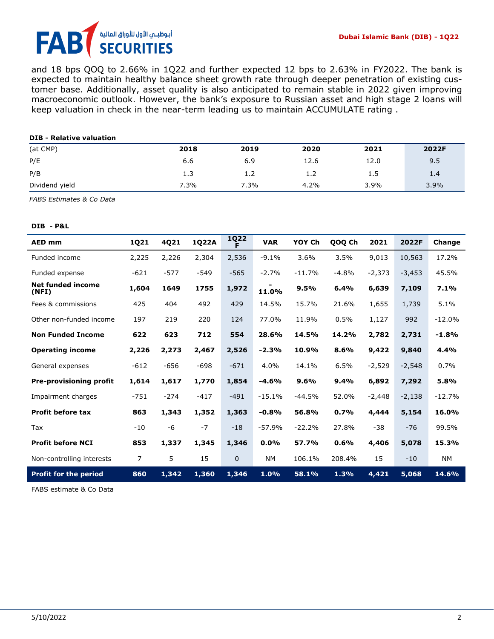# أبوظبـي الأول للأوراق المالية<br>SECURITIES FAI

and 18 bps QOQ to 2.66% in 1Q22 and further expected 12 bps to 2.63% in FY2022. The bank is expected to maintain healthy balance sheet growth rate through deeper penetration of existing customer base. Additionally, asset quality is also anticipated to remain stable in 2022 given improving macroeconomic outlook. However, the bank's exposure to Russian asset and high stage 2 loans will keep valuation in check in the near-term leading us to maintain ACCUMULATE rating .

| <b>DIB - Relative valuation</b> |      |      |      |      |       |
|---------------------------------|------|------|------|------|-------|
| (at CMP)                        | 2018 | 2019 | 2020 | 2021 | 2022F |
| P/E                             | 6.6  | 6.9  | 12.6 | 12.0 | 9.5   |
| P/B                             | 1.3  | 1.2  | 1.2  | 1.5  | 1.4   |
| Dividend yield                  | 7.3% | 7.3% | 4.2% | 3.9% | 3.9%  |

*FABS Estimates & Co Data*

### **DIB - P&L**

| <b>AED mm</b>                     | 1Q21   | 4Q21   | 1Q22A  | <b>1Q22</b>  | <b>VAR</b> | YOY Ch   | QOQ Ch  | 2021     | 2022F    | Change    |
|-----------------------------------|--------|--------|--------|--------------|------------|----------|---------|----------|----------|-----------|
| Funded income                     | 2,225  | 2,226  | 2,304  | 2,536        | $-9.1%$    | 3.6%     | 3.5%    | 9,013    | 10,563   | 17.2%     |
| Funded expense                    | $-621$ | $-577$ | -549   | $-565$       | $-2.7%$    | $-11.7%$ | $-4.8%$ | $-2,373$ | $-3,453$ | 45.5%     |
| <b>Net funded income</b><br>(NFI) | 1,604  | 1649   | 1755   | 1,972        | 11.0%      | 9.5%     | 6.4%    | 6,639    | 7,109    | 7.1%      |
| Fees & commissions                | 425    | 404    | 492    | 429          | 14.5%      | 15.7%    | 21.6%   | 1,655    | 1,739    | 5.1%      |
| Other non-funded income           | 197    | 219    | 220    | 124          | 77.0%      | 11.9%    | 0.5%    | 1,127    | 992      | $-12.0%$  |
| <b>Non Funded Income</b>          | 622    | 623    | 712    | 554          | 28.6%      | 14.5%    | 14.2%   | 2,782    | 2,731    | $-1.8%$   |
| <b>Operating income</b>           | 2,226  | 2,273  | 2,467  | 2,526        | $-2.3%$    | 10.9%    | 8.6%    | 9,422    | 9,840    | 4.4%      |
| General expenses                  | $-612$ | $-656$ | $-698$ | $-671$       | 4.0%       | 14.1%    | 6.5%    | $-2,529$ | $-2,548$ | 0.7%      |
| <b>Pre-provisioning profit</b>    | 1,614  | 1,617  | 1,770  | 1,854        | $-4.6%$    | 9.6%     | 9.4%    | 6,892    | 7,292    | 5.8%      |
| Impairment charges                | $-751$ | $-274$ | $-417$ | $-491$       | $-15.1%$   | $-44.5%$ | 52.0%   | $-2,448$ | $-2,138$ | $-12.7%$  |
| <b>Profit before tax</b>          | 863    | 1,343  | 1,352  | 1,363        | $-0.8%$    | 56.8%    | 0.7%    | 4,444    | 5,154    | 16.0%     |
| Tax                               | $-10$  | $-6$   | $-7$   | $-18$        | $-57.9%$   | $-22.2%$ | 27.8%   | $-38$    | $-76$    | 99.5%     |
| <b>Profit before NCI</b>          | 853    | 1,337  | 1,345  | 1,346        | $0.0\%$    | 57.7%    | 0.6%    | 4,406    | 5,078    | 15.3%     |
| Non-controlling interests         | 7      | 5      | 15     | $\mathbf{0}$ | <b>NM</b>  | 106.1%   | 208.4%  | 15       | $-10$    | <b>NM</b> |
| <b>Profit for the period</b>      | 860    | 1,342  | 1,360  | 1,346        | 1.0%       | 58.1%    | 1.3%    | 4,421    | 5,068    | 14.6%     |

FABS estimate & Co Data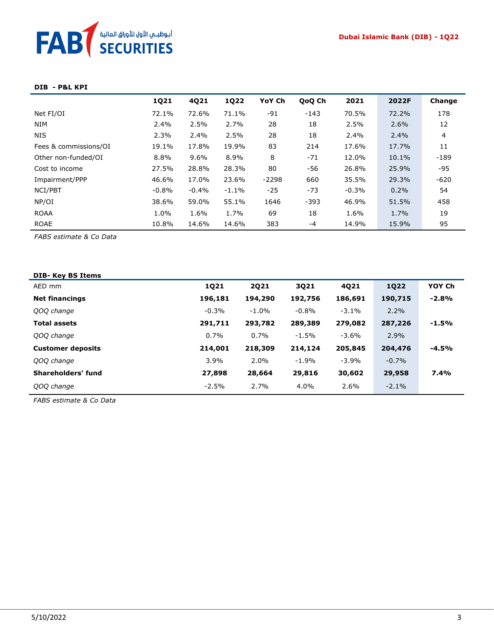

#### **DIB - P&L KPI**

|                       | 1Q21     | 4Q21    | <b>1Q22</b> | YoY Ch  | QoQ Ch | 2021    | 2022F | Change |
|-----------------------|----------|---------|-------------|---------|--------|---------|-------|--------|
| Net FI/OI             | 72.1%    | 72.6%   | 71.1%       | $-91$   | $-143$ | 70.5%   | 72.2% | 178    |
| <b>NIM</b>            | 2.4%     | 2.5%    | 2.7%        | 28      | 18     | 2.5%    | 2.6%  | 12     |
| <b>NIS</b>            | 2.3%     | 2.4%    | 2.5%        | 28      | 18     | $2.4\%$ | 2.4%  | 4      |
| Fees & commissions/OI | 19.1%    | 17.8%   | 19.9%       | 83      | 214    | 17.6%   | 17.7% | 11     |
| Other non-funded/OI   | 8.8%     | 9.6%    | 8.9%        | 8       | $-71$  | 12.0%   | 10.1% | $-189$ |
| Cost to income        | 27.5%    | 28.8%   | 28.3%       | 80      | -56    | 26.8%   | 25.9% | -95    |
| Impairment/PPP        | 46.6%    | 17.0%   | 23.6%       | $-2298$ | 660    | 35.5%   | 29.3% | $-620$ |
| NCI/PBT               | $-0.8\%$ | $-0.4%$ | $-1.1\%$    | $-25$   | $-73$  | $-0.3%$ | 0.2%  | 54     |
| NP/OI                 | 38.6%    | 59.0%   | 55.1%       | 1646    | $-393$ | 46.9%   | 51.5% | 458    |
| <b>ROAA</b>           | 1.0%     | 1.6%    | 1.7%        | 69      | 18     | 1.6%    | 1.7%  | 19     |
| <b>ROAE</b>           | 10.8%    | 14.6%   | 14.6%       | 383     | -4     | 14.9%   | 15.9% | 95     |

*FABS estimate & Co Data*

| <b>DIB-Key BS Items</b>  |         |          |          |          |             |         |
|--------------------------|---------|----------|----------|----------|-------------|---------|
| AED mm                   | 1Q21    | 2021     | 3Q21     | 4Q21     | <b>1Q22</b> | YOY Ch  |
| <b>Net financings</b>    | 196,181 | 194,290  | 192,756  | 186,691  | 190,715     | $-2.8%$ |
| QOQ change               | $-0.3%$ | $-1.0\%$ | $-0.8\%$ | $-3.1\%$ | 2.2%        |         |
| <b>Total assets</b>      | 291,711 | 293,782  | 289,389  | 279,082  | 287,226     | $-1.5%$ |
| QOQ change               | $0.7\%$ | 0.7%     | $-1.5%$  | -3.6%    | 2.9%        |         |
| <b>Customer deposits</b> | 214,001 | 218,309  | 214,124  | 205,845  | 204,476     | $-4.5%$ |
| QOQ change               | 3.9%    | 2.0%     | $-1.9%$  | $-3.9%$  | $-0.7%$     |         |
| Shareholders' fund       | 27,898  | 28,664   | 29,816   | 30,602   | 29,958      | 7.4%    |
| QOQ change               | $-2.5%$ | 2.7%     | 4.0%     | 2.6%     | $-2.1%$     |         |
|                          |         |          |          |          |             |         |

*FABS estimate & Co Data*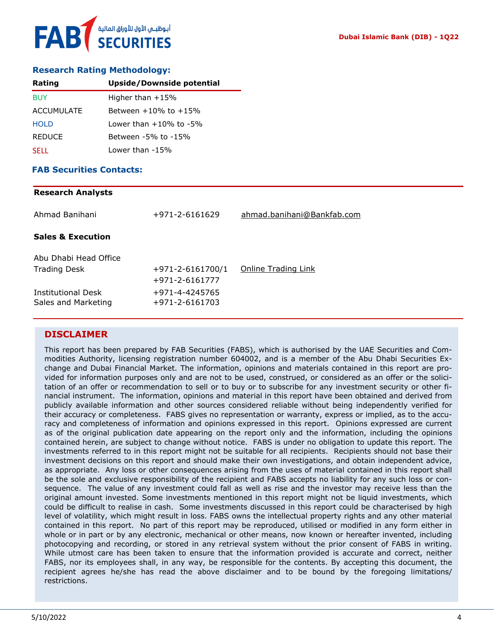### **Research Rating Methodology:**

| Rating            | Upside/Downside potential    |
|-------------------|------------------------------|
| <b>BUY</b>        | Higher than $+15%$           |
| <b>ACCUMULATE</b> | Between $+10\%$ to $+15\%$   |
| <b>HOLD</b>       | Lower than $+10\%$ to $-5\%$ |
| <b>REDUCE</b>     | Between -5% to -15%          |
| <b>SELL</b>       | Lower than -15%              |

### **FAB Securities Contacts:**

### **Research Analysts**

| Ahmad Banihani                            | +971-2-6161629                   | ahmad.banihani@Bankfab.com |
|-------------------------------------------|----------------------------------|----------------------------|
| <b>Sales &amp; Execution</b>              |                                  |                            |
| Abu Dhabi Head Office                     |                                  |                            |
| <b>Trading Desk</b>                       | $+971 - 2 - 6161700/1$           | Online Trading Link        |
|                                           | +971-2-6161777                   |                            |
| Institutional Desk<br>Sales and Marketing | +971-4-4245765<br>+971-2-6161703 |                            |

### **DISCLAIMER**

This report has been prepared by FAB Securities (FABS), which is authorised by the UAE Securities and Commodities Authority, licensing registration number 604002, and is a member of the Abu Dhabi Securities Exchange and Dubai Financial Market. The information, opinions and materials contained in this report are provided for information purposes only and are not to be used, construed, or considered as an offer or the solicitation of an offer or recommendation to sell or to buy or to subscribe for any investment security or other financial instrument. The information, opinions and material in this report have been obtained and derived from publicly available information and other sources considered reliable without being independently verified for their accuracy or completeness. FABS gives no representation or warranty, express or implied, as to the accuracy and completeness of information and opinions expressed in this report. Opinions expressed are current as of the original publication date appearing on the report only and the information, including the opinions contained herein, are subject to change without notice. FABS is under no obligation to update this report. The investments referred to in this report might not be suitable for all recipients. Recipients should not base their investment decisions on this report and should make their own investigations, and obtain independent advice, as appropriate. Any loss or other consequences arising from the uses of material contained in this report shall be the sole and exclusive responsibility of the recipient and FABS accepts no liability for any such loss or consequence. The value of any investment could fall as well as rise and the investor may receive less than the original amount invested. Some investments mentioned in this report might not be liquid investments, which could be difficult to realise in cash. Some investments discussed in this report could be characterised by high level of volatility, which might result in loss. FABS owns the intellectual property rights and any other material contained in this report. No part of this report may be reproduced, utilised or modified in any form either in whole or in part or by any electronic, mechanical or other means, now known or hereafter invented, including photocopying and recording, or stored in any retrieval system without the prior consent of FABS in writing. While utmost care has been taken to ensure that the information provided is accurate and correct, neither FABS, nor its employees shall, in any way, be responsible for the contents. By accepting this document, the recipient agrees he/she has read the above disclaimer and to be bound by the foregoing limitations/ restrictions.